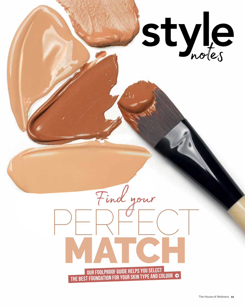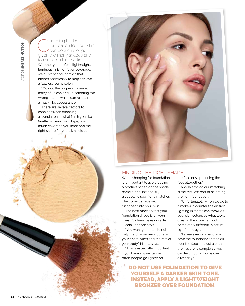Choosing the best<br>
can be a challenge<br>
civen the many shades are foundation for your skin given the many shades and formulas on the market. Whether you prefer a lightweight, luminous finish or fuller coverage, we all want a foundation that blends seamlessly to help achieve a flawless complexion.

Without the proper guidance, many of us can end up selecting the wrong shade, which can result in a mask-like appearance.

There are several factors to consider when choosing a foundation — what finish you like (matte or dewy), skin type, how much coverage you need and the right shade for your skin colour.



## Finding the right shade

When shopping for foundation, it is important to avoid buying a product based on the shade name alone. Instead, try a couple to see if one matches. The correct shade will disappear into your skin.

The best place to test your foundation shade is on your chest, Sydney make-up artist Nicola Johnson says.

"You want your face to not only match your neck but also your chest, arms and the rest of your body," Nicola says.

"This is especially important if you have a spray tan, as often people go lighter on

the face or skip tanning the face altogether."

Nicola says colour matching is the trickiest part of selecting the right foundation.

"Unfortunately, when we go to a make-up counter the artificial lighting in stores can throw off your skin colour, so what looks great in the store can look completely different in natural light," she says.

"I always recommend you have the foundation tested all over the face, not just a patch, then ask for a sample so you can test it out at home over a few days."

Do not use foundation to give yourself a darker skin tone. Instead, apply a lightweight bronzer over foundation.